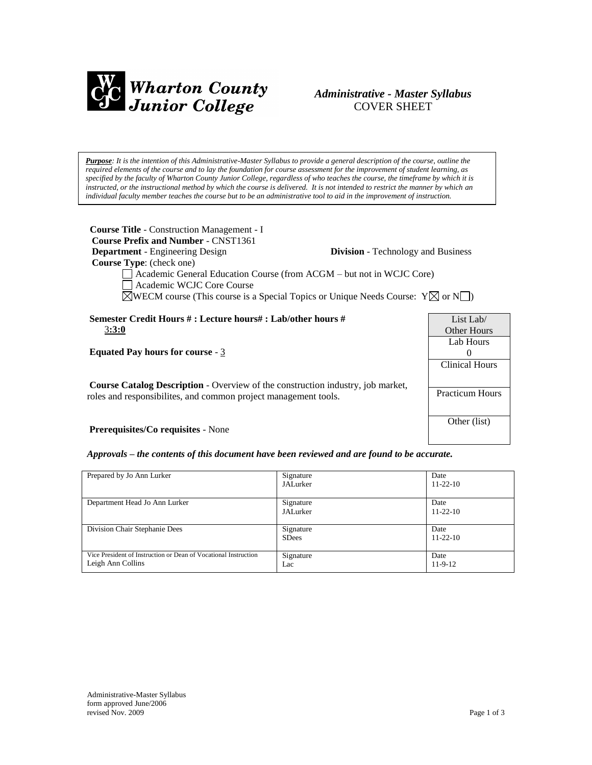

# *Administrative - Master Syllabus*  COVER SHEET

*Purpose: It is the intention of this Administrative-Master Syllabus to provide a general description of the course, outline the required elements of the course and to lay the foundation for course assessment for the improvement of student learning, as specified by the faculty of Wharton County Junior College, regardless of who teaches the course, the timeframe by which it is instructed, or the instructional method by which the course is delivered. It is not intended to restrict the manner by which an individual faculty member teaches the course but to be an administrative tool to aid in the improvement of instruction.*

| <b>Course Title - Construction Management - I</b><br><b>Course Prefix and Number - CNST1361</b><br><b>Department</b> - Engineering Design                                                                                                            | <b>Division</b> - Technology and Business |                                       |  |
|------------------------------------------------------------------------------------------------------------------------------------------------------------------------------------------------------------------------------------------------------|-------------------------------------------|---------------------------------------|--|
| <b>Course Type:</b> (check one)<br>Academic General Education Course (from ACGM – but not in WCJC Core)<br>Academic WCJC Core Course<br>$\boxtimes$ WECM course (This course is a Special Topics or Unique Needs Course: Y $\boxtimes$ or N $\Box$ ) |                                           |                                       |  |
|                                                                                                                                                                                                                                                      |                                           |                                       |  |
| Semester Credit Hours # : Lecture hours# : Lab/other hours #<br>3:3:0                                                                                                                                                                                |                                           | List Lab $\ell$<br><b>Other Hours</b> |  |
| Equated Pay hours for course $-3$                                                                                                                                                                                                                    |                                           | Lab Hours<br>$\theta$                 |  |
|                                                                                                                                                                                                                                                      |                                           | Clinical Hours                        |  |
| <b>Course Catalog Description</b> - Overview of the construction industry, job market,<br>roles and responsibilities, and common project management tools.                                                                                           |                                           | <b>Practicum Hours</b>                |  |
| <b>Prerequisites/Co requisites - None</b>                                                                                                                                                                                                            |                                           | Other (list)                          |  |

*Approvals – the contents of this document have been reviewed and are found to be accurate.*

| Prepared by Jo Ann Lurker                                                            | Signature<br><b>JALurker</b> | Date<br>$11 - 22 - 10$ |
|--------------------------------------------------------------------------------------|------------------------------|------------------------|
| Department Head Jo Ann Lurker                                                        | Signature<br>JALurker        | Date<br>$11 - 22 - 10$ |
| Division Chair Stephanie Dees                                                        | Signature<br><b>SDees</b>    | Date<br>$11 - 22 - 10$ |
| Vice President of Instruction or Dean of Vocational Instruction<br>Leigh Ann Collins | Signature<br>Lac             | Date<br>$11-9-12$      |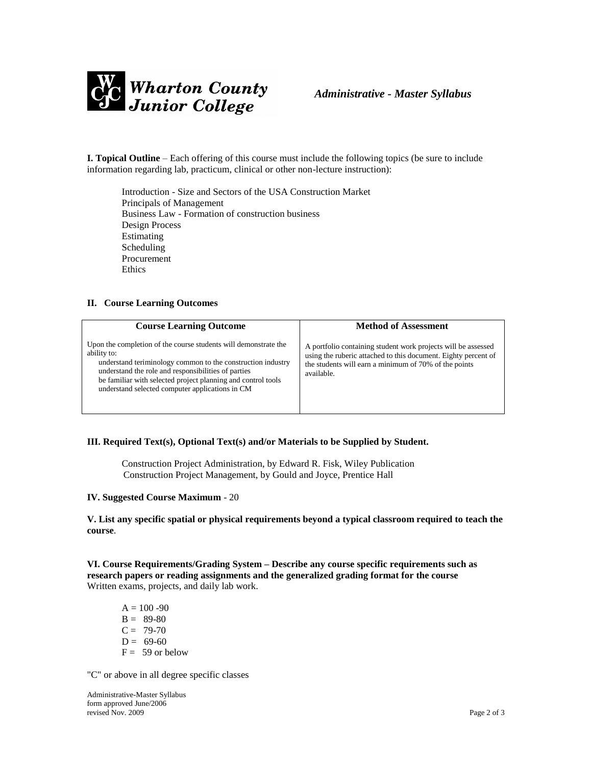

**I. Topical Outline** – Each offering of this course must include the following topics (be sure to include information regarding lab, practicum, clinical or other non-lecture instruction):

Introduction - Size and Sectors of the USA Construction Market Principals of Management Business Law - Formation of construction business Design Process Estimating Scheduling Procurement Ethics

#### **II. Course Learning Outcomes**

| <b>Course Learning Outcome</b>                                                                                                                                                                                                                                                                                          | <b>Method of Assessment</b>                                                                                                                                                                            |
|-------------------------------------------------------------------------------------------------------------------------------------------------------------------------------------------------------------------------------------------------------------------------------------------------------------------------|--------------------------------------------------------------------------------------------------------------------------------------------------------------------------------------------------------|
| Upon the completion of the course students will demonstrate the<br>ability to:<br>understand teriminology common to the construction industry<br>understand the role and responsibilities of parties<br>be familiar with selected project planning and control tools<br>understand selected computer applications in CM | A portfolio containing student work projects will be assessed<br>using the ruberic attached to this document. Eighty percent of<br>the students will earn a minimum of 70% of the points<br>available. |

### **III. Required Text(s), Optional Text(s) and/or Materials to be Supplied by Student.**

Construction Project Administration, by Edward R. Fisk, Wiley Publication Construction Project Management, by Gould and Joyce, Prentice Hall

#### **IV. Suggested Course Maximum** - 20

**V. List any specific spatial or physical requirements beyond a typical classroom required to teach the course**.

**VI. Course Requirements/Grading System – Describe any course specific requirements such as research papers or reading assignments and the generalized grading format for the course** Written exams, projects, and daily lab work.

 $A = 100 - 90$  $B = 89-80$  $C = 79-70$  $D = 69-60$  $F = 59$  or below

"C" or above in all degree specific classes

Administrative-Master Syllabus form approved June/2006 revised Nov. 2009 Page 2 of 3